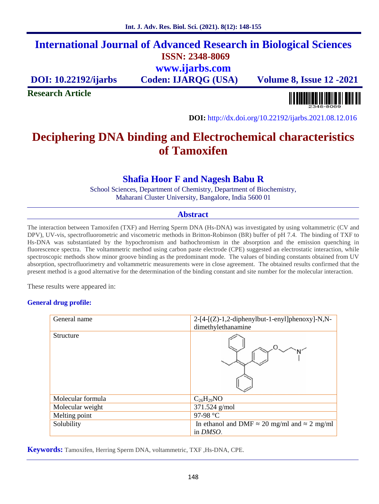# **International Journal of Advanced Research in Biological Sciences ISSN: 2348-8069 www.ijarbs.com**

**DOI: 10.22192/ijarbs Coden: IJARQG (USA) Volume 8, Issue 12 -2021**

**Research Article**

<u> III BIBBIN BINI BINI BINI BIN</u>

**DOI:** http://dx.doi.org/10.22192/ijarbs.2021.08.12.016

# **Deciphering DNA binding and Electrochemical characteristics of Tamoxifen**

## **Shafia Hoor F and Nagesh Babu R**

School Sciences, Department of Chemistry, Department of Biochemistry, Maharani Cluster University, Bangalore, India 5600 01

## **Abstract**

The interaction between Tamoxifen (TXF) and Herring Sperm DNA (Hs-DNA) was investigated by using voltammetric (CV and DPV), UV-vis, spectrofluorometric and viscometric methods in Britton-Robinson (BR) buffer of pH 7.4. The binding of TXF to Hs-DNA was substantiated by the hypochromism and bathochromism in the absorption and the emission quenching in fluorescence spectra. The voltammetric method using carbon paste electrode (CPE) suggested an electrostatic interaction, while spectroscopic methods show minor groove binding as the predominant mode. The values of binding constants obtained from UV absorption, spectrofluorimetry and voltammetric measurements were in close agreement. The obtained results confirmed that the present method is a good alternative for the determination of the binding constant and site number for the molecular interaction.

These results were appeared in:

### **General drug profile:**

| General name      | $2-[4-[(Z)-1,2-diphenylbut-1-enyl]phenoxy]-N,N-$<br>dimethylethanamine        |
|-------------------|-------------------------------------------------------------------------------|
| <b>Structure</b>  |                                                                               |
| Molecular formula | $C_{26}H_{29}NO$                                                              |
| Molecular weight  | 371.524 g/mol                                                                 |
| Melting point     | 97-98 °C                                                                      |
| Solubility        | In ethanol and DMF<br>$20 \text{ mg/ml}$ and<br>$2 \text{ mg/ml}$<br>in DMSO. |

**Keywords:** Tamoxifen, Herring Sperm DNA, voltammetric, TXF ,Hs-DNA, CPE.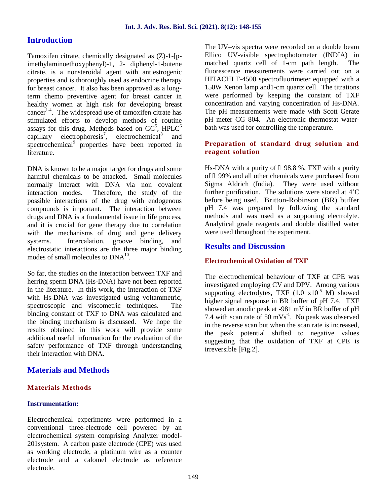## **Introduction**

Tamoxifen citrate, chemically designated as (Z)-1-[pimethylaminoethoxyphenyl)-1, 2- diphenyl-1-butene citrate, is a nonsteroidal agent with antiestrogenic properties and is thoroughly used as endocrine therapy for breast cancer. It also has been approved as a longterm chemo preventive agent for breast cancer in healthy women at high risk for developing breast cancer<sup>14</sup>. The widespread use of tamoxifen citrate has stimulated efforts to develop methods of routine assays for this drug. Methods based on  $GC^5$ , HPLC<sup>6</sup> capillary electrophoresis<sup>7</sup>, electrochemical<sup>8</sup> and spectrochemical<sup>9</sup> properties have been reported in literature.

DNA is known to be a major target for drugs and some harmful chemicals to be attacked. Small molecules normally interact with DNA via non covalent interaction modes. Therefore, the study of the possible interactions of the drug with endogenous compounds is important. The interaction between drugs and DNA is a fundamental issue in life process, and it is crucial for gene therapy due to correlation with the mechanisms of drug and gene delivery systems. Intercalation, groove binding, and electrostatic interactions are the three major binding modes of small molecules to  $DNA^{10}$ .

So far, the studies on the interaction between TXF and herring sperm DNA (Hs-DNA) have not been reported in the literature. In this work, the interaction of TXF with Hs-DNA was investigated using voltammetric, spectroscopic and viscometric techniques. The binding constant of TXF to DNA was calculated and the binding mechanism is discussed. We hope the results obtained in this work will provide some additional useful information for the evaluation of the safety performance of TXF through understanding their interaction with DNA.

## **Materials and Methods**

### **Materials Methods**

### **Instrumentation:**

Electrochemical experiments were performed in a conventional three-electrode cell powered by an electrochemical system comprising Analyzer model- 201system. A carbon paste electrode (CPE) was used as working electrode, a platinum wire as a counter electrode and a calomel electrode as reference electrode.

The UV–vis spectra were recorded on a double beam Ellico UV-visible spectrophotometer (INDIA) in matched quartz cell of 1-cm path length. The fluorescence measurements were carried out on a HITACHI F-4500 spectrofluorimeter equipped with a 150W Xenon lamp and1-cm quartz cell. The titrations were performed by keeping the constant of TXF concentration and varying concentration of Hs-DNA. The pH measurements were made with Scott Gerate pH meter CG 804. An electronic thermostat water bath was used for controlling the temperature.

## **Preparation of standard drug solution and reagent solution**

Hs-DNA with a purity of 98.8 %, TXF with a purity of 99% and all other chemicals were purchased from Sigma Aldrich (India). They were used without further purification. The solutions were stored at 4˚C before being used. Britton-Robinson (BR) buffer pH 7.4 was prepared by following the standard methods and was used as a supporting electrolyte. Analytical grade reagents and double distilled water were used throughout the experiment.

## **Results and Discussion**

## **Electrochemical Oxidation of TXF**

The electrochemical behaviour of TXF at CPE was investigated employing CV and DPV. Among various supporting electrolytes, TXF  $(1.0 \times 10^{-5} \text{ M})$  showed higher signal response in BR buffer of pH 7.4. TXF showed an anodic peak at -981 mV in BR buffer of pH 7.4 with scan rate of  $50 \text{ mVs}^{-1}$ . No peak was observed in the reverse scan but when the scan rate is increased, the peak potential shifted to negative values suggesting that the oxidation of TXF at CPE is irreversible [Fig.2].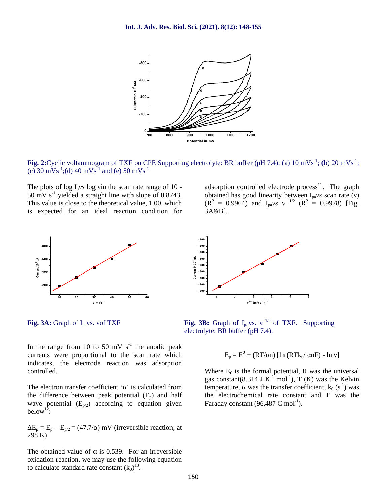

**Fig. 2:**Cyclic voltammogram of TXF on CPE Supporting electrolyte: BR buffer (pH 7.4); (a) 10 mVs<sup>-1</sup>; (b) 20 mVs<sup>-1</sup>; (c) 30 mVs<sup>-1</sup>;(d) 40 mVs<sup>-1</sup> and (e) 50 mVs<sup>-1</sup>

The plots of  $\log I_{p}$ *vs*  $\log$  in the scan rate range of 10 -50 mV s<sup>-1</sup> yielded a straight line with slope of 0.8743. This value is close to the theoretical value, 1.00, which is expected for an ideal reaction condition for



In the range from 10 to 50 mV  $s^{-1}$  the anodic peak currents were proportional to the scan rate which indicates, the electrode reaction was adsorption controlled.

The electron transfer coefficient ' ' is calculated from the difference between peak potential  $(E_p)$  and half wave potential  $(E_{p/2})$  according to equation given below<sup>12</sup>:

 $E_p = E_p - E_{p/2} = (47.7/7)$  mV (irreversible reaction; at 298 K)

The obtained value of is 0.539. For an irreversible oxidation reaction, we may use the following equation to calculate standard rate constant  $(k_0)^{13}$ .

adsorption controlled electrode process<sup>11</sup>. The graph obtained has good linearity between I<sub>pa</sub>*vs* scan rate ()  $(R^2 = 0.9964)$  and  $I_{pa}v_s$  <sup>1/2</sup>  $(R^2 = 0.9978)$  [Fig. 3A&B].



**Fig. 3A:** Graph of  $I_{pa}$ vs. of TXF **Fig. 3B:** Graph of  $I_{pa}$ vs. <sup>1/2</sup> of TXF. Supporting electrolyte: BR buffer (pH 7.4).

$$
E_p = E^0 + (RT/\ n) [\ln (RTk_0/\ nF) - \ln ]
$$

Where  $E_0$  is the formal potential, R was the universal gas constant(8.314 J  $K^{-1}$  mol<sup>-1</sup>), T (K) was the Kelvin temperature, was the transfer coefficient,  $k_0$  (s<sup>-1</sup>) was the electrochemical rate constant and F was the Faraday constant  $(96.487 \text{ C mol}^{-1})$ .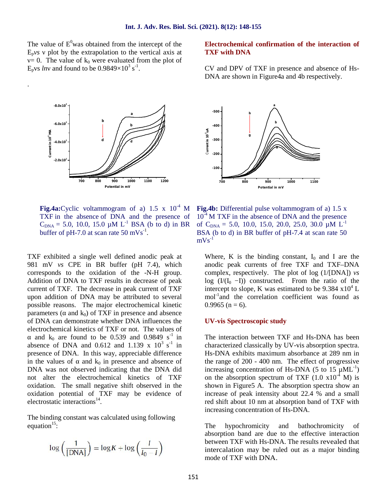The value of  $E^0$  was obtained from the intercept of the  $E_p v s$  plot by the extrapolation to the vertical axis at  $= 0$ . The value of k<sub>0</sub> were evaluated from the plot of  $E_p$ vs *ln* and found to be 0.9849×10<sup>3</sup> s<sup>-1</sup>.

.

# **700 800 900 1000 1100 1200 2.0x10<sup>2</sup><br>
<br>
2.0x10<sup>2</sup><br>
2.0x10<sup>2</sup><br>
2.0x10<sup>2</sup> b**  $\sqrt{u}$ **d<sup>b</sup> a**  $\frac{d}{dx}$ <br>  $\frac{d}{dx}$ <br>  $\frac{d}{dx}$ <br>  $\frac{d}{dx}$ <br>  $\frac{d}{dx}$ <br>  $\frac{d}{dx}$ <br>  $\frac{d}{dx}$ <br>  $\frac{d}{dx}$ <br>  $\frac{d}{dx}$ <br>  $\frac{d}{dx}$ <br>  $\frac{d}{dx}$ <br>  $\frac{d}{dx}$ <br>  $\frac{d}{dx}$ <br>  $\frac{d}{dx}$ <br>  $\frac{d}{dx}$ <br>  $\frac{d}{dx}$ <br>  $\frac{d}{dx}$ <br>  $\frac{d}{dx}$ <br>  $\frac{d}{dx}$ <br>  $\frac{d}{dx}$ <br> **Potential in mV**

**Fig.4a:**Cyclic voltammogram of a)  $1.5 \times 10^{-4}$  M TXF in the absence of DNA and the presence of  $C_{DNA}$  = 5.0, 10.0, 15.0 µM L<sup>-1</sup> BSA (b to d) in BR of  $C_{DNA}$  = buffer of pH-7.0 at scan rate  $50 \text{ mVs}^{-1}$ .

TXF exhibited a single well defined anodic peak at 981 mV *vs* CPE in BR buffer (pH 7.4), which corresponds to the oxidation of the -N-H group. Addition of DNA to TXF results in decrease of peak current of TXF. The decrease in peak current of TXF upon addition of DNA may be attributed to several possible reasons. The major electrochemical kinetic parameters ( $\alpha$  and  $k_0$ ) of TXF in presence and absence of DNA can demonstrate whether DNA influences the electrochemical kinetics of TXF or not. The values of

and  $k_0$  are found to be 0.539 and 0.9849 s<sup>-1</sup> in T absence of DNA and  $0.612$  and  $1.139 \times 10^3$  s<sup>-1</sup> in c presence of DNA. In this way, appreciable difference in the values of and  $k_0$  in presence and absence of DNA was not observed indicating that the DNA did not alter the electrochemical kinetics of TXF oxidation. The small negative shift observed in the oxidation potential of TXF may be evidence of electrostatic interactions<sup>14</sup>.

The binding constant was calculated using following equation $^{15}$ :

$$
\log\left(\frac{1}{\text{[DNA]}}\right) = \log K + \log\left(\frac{I}{I_0 - I}\right)
$$

### **Electrochemical confirmation of the interaction of TXF with DNA**

CV and DPV of TXF in presence and absence of Hs- DNA are shown in Figure4a and 4b respectively.



**Fig.4b:** Differential pulse voltammogram of a) 1.5 x  $10^{-4}$  M TXF in the absence of DNA and the presence of C<sub>DNA</sub> = 5.0, 10.0, 15.0, 20.0, 25.0, 30.0  $\mu$ M L<sup>-1</sup> BSA (b to d) in BR buffer of pH-7.4 at scan rate 50  $mVs^{-1}$ 

Where, K is the binding constant,  $I_0$  and I are the anodic peak currents of free TXF and TXF–DNA complex, respectively. The plot of log (1/[DNA]) *vs* log  $(I/(I_0 - I))$  constructed. From the ratio of the intercept to slope, K was estimated to be 9.384  $x10^4$  L mol<sup>-1</sup>and the correlation coefficient was found as  $0.9965$  (n = 6).

#### **UV-vis Spectroscopic study**

The interaction between TXF and Hs-DNA has been characterized classically by UV-vis absorption spectra. Hs-DNA exhibits maximum absorbance at 289 nm in the range of 200 - 400 nm. The effect of progressive increasing concentration of Hs-DNA (5 to 15  $\mu$ ML<sup>-1</sup>) on the absorption spectrum of TXF  $(1.0 \times 10^{-4} \text{ M})$  is shown in Figure5 A. The absorption spectra show an increase of peak intensity about 22.4 % and a small red shift about 10 nm at absorption band of TXF with increasing concentration of Hs-DNA.

The hypochromicity and bathochromicity of absorption band are due to the effective interaction between TXF with Hs-DNA. The results revealed that intercalation may be ruled out as a major binding mode of TXF with DNA.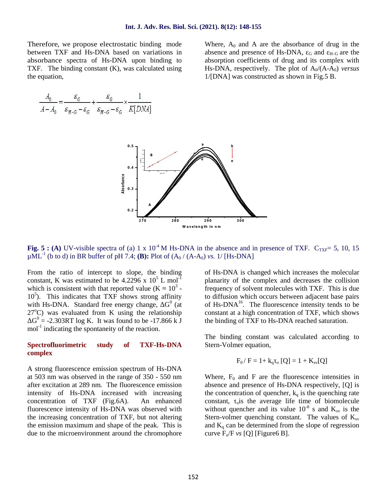Therefore, we propose electrostatic binding mode between TXF and Hs-DNA based on variations in absorbance spectra of Hs-DNA upon binding to TXF. The binding constant (K), was calculated using the equation,

Where,  $A_0$  and A are the absorbance of drug in the absence and presence of Hs-DNA,  $_G$  and  $_{H-G}$  are the absorption coefficients of drug and its complex with Hs-DNA, respectively. The plot of  $A_0/(A-A_0)$  *versus* 1/[DNA] was constructed as shown in Fig.5 B.

$$
\frac{A_0}{A - A_0} = \frac{\varepsilon_G}{\varepsilon_{H - G} - \varepsilon_G} + \frac{\varepsilon_G}{\varepsilon_{H - G} - \varepsilon_G} \times \frac{1}{K[DNA]}
$$



**Fig. 5 : (A)** UV-visible spectra of (a) 1 x  $10^{-4}$  M Hs-DNA in the absence and in presence of TXF. C<sub>TXF</sub>= 5, 10, 15  $\mu$ ML<sup>-1</sup> (b to d) in BR buffer of pH 7.4; **(B):** Plot of  $(A_0 / (A-A_0)$  *vs.* 1/ [Hs-DNA]

From the ratio of intercept to slope, the binding constant, K was estimated to be 4.2296 x  $10^5$  L mol<sup>-1</sup> which is consistent with that reported value  $(K \t 10^3 10<sup>5</sup>$ ). This indicates that TXF shows strong affinity with Hs-DNA. Standard free energy change,  $G^0$  (at  $27^{\circ}$ C) was evaluated from K using the relationship  $G^0$  = -2.303RT log K. It was found to be -17.866 k J mol<sup>-1</sup> indicating the spontaneity of the reaction.

#### **Spectrofluorimetric study of TXF-Hs-DNA complex**

A strong fluorescence emission spectrum of Hs-DNA at 503 nm was observed in the range of 350 - 550 nm after excitation at 289 nm. The fluorescence emission intensity of Hs-DNA increased with increasing concentration of TXF (Fig.6A). An enhanced fluorescence intensity of Hs-DNA was observed with the increasing concentration of TXF, but not altering the emission maximum and shape of the peak. This is due to the microenvironment around the chromophore

of Hs-DNA is changed which increases the molecular planarity of the complex and decreases the collision frequency of solvent molecules with TXF. This is due to diffusion which occurs between adjacent base pairs of Hs-DNA<sup>16</sup>. The fluorescence intensity tends to be constant at a high concentration of TXF, which shows the binding of TXF to Hs-DNA reached saturation.

The binding constant was calculated according to Stern-Volmer equation,

$$
F_0/F = 1 + k_q
$$
 o [Q] = 1 + K<sub>sv</sub>[Q]

Where,  $F_0$  and F are the fluorescence intensities in absence and presence of Hs-DNA respectively, [Q] is the concentration of quencher,  $k_q$  is the quenching rate constant,  $\delta$  is the average life time of biomolecule without quencher and its value  $10^{-8}$  s and  $K_{\rm sv}$  is the Stern-volmer quenching constant. The values of  $K_{sv}$ and  $K_q$  can be determined from the slope of regression curve  $F_0/F$  *vs* [Q] [Figure6 B].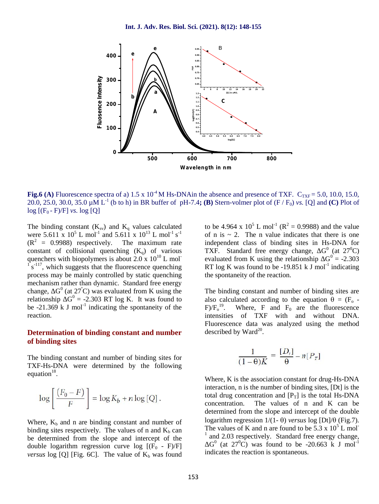

**Fig.6 (A)** Fluorescence spectra of a)  $1.5 \times 10^{-4}$  M Hs-DNAin the absence and presence of TXF.  $C_{\text{TXF}} = 5.0$ , 10.0, 15.0, 20.0, 25.0, 30.0, 35.0  $\mu$ M L<sup>-1</sup> (b to h) in BR buffer of pH-7.4**; (B)** Stern-volmer plot of (F / F<sub>0</sub>) *vs.* [Q] and (C) Plot of  $log$   $[(F_0 - F)/F]$  *vs.*  $log$  [Q]

The binding constant  $(K_{sv})$  and  $K_q$  values calculated to were 5.611 x  $10^5$  L mol<sup>-1</sup> and 5.611 x  $10^{13}$  L mol<sup>-1</sup> s<sup>-1</sup>  $(R<sup>2</sup> = 0.9988)$  respectively. The maximum rate constant of collisional quenching  $(K_q)$  of various quenchers with biopolymers is about  $2.0 \times 10^{10}$  L mol $s^{-117}$ , which suggests that the fluorescence quenching process may be mainly controlled by static quenching mechanism rather than dynamic. Standard free energy change,  $G^0$  (at 27<sup>°</sup>C) was evaluated from K using the relationship  $G^0 = -2.303$  RT log K. It was found to a be  $-21.369$  k J mol<sup>-1</sup> indicating the spontaneity of the reaction.

## **Determination of binding constant and number of binding sites**

The binding constant and number of binding sites for TXF-Hs-DNA were determined by the following equation $^{18}$ .

$$
\log\left[\frac{\left(F_0 - F\right)}{F}\right] = \log K_b + n \log\left[Q\right].
$$

Where,  $K_b$  and n are binding constant and number of binding sites respectively. The values of n and  $K_b$  can<br>The values of K and n are found to be 5.3 x 10<sup>5</sup> L mol<sup>-</sup> be determined from the slope and intercept of the double logarithm regression curve log  $[(F_0 - F)/F]$ *versus* log [Q] [Fig. 6C]. The value of  $K_b$  was found

to be 4.964 x  $10^5$  L mol<sup>-1</sup> ( $R^2 = 0.9988$ ) and the value of n is  $\sim$  2. The n value indicates that there is one independent class of binding sites in Hs-DNA for TXF. Standard free energy change,  $G^0$  (at  $27^0C$ ) evaluated from K using the relationship  $G^0 = -2.303$ RT log K was found to be  $-19.851 \text{ k J mol}^{-1}$  indicating the spontaneity of the reaction.

The binding constant and number of binding sites are also calculated according to the equation  $\theta = (F_0 F$ )/ $F_o^{19}$ . Where, F and  $F_0$  are the fluorescence intensities of TXF with and without DNA. Fluorescence data was analyzed using the method described by Ward $^{20}$ .

$$
\frac{1}{(1-\theta)K} = \frac{[D_t]}{\theta} - n[P_T]
$$

Where, K is the association constant for drug-Hs-DNA interaction, n is the number of binding sites, [Dt] is the total drug concentration and  $[P_T]$  is the total Hs-DNA concentration. The values of n and K can be determined from the slope and intercept of the double logarithm regression  $1/(1 - \theta)$  *versus*  $\log [Dt]/\theta$  (Fig.7). and 2.03 respectively. Standard free energy change,  $G^0$  (at 27<sup>0</sup>C) was found to be -20.663 k J mol<sup>-1</sup> indicates the reaction is spontaneous.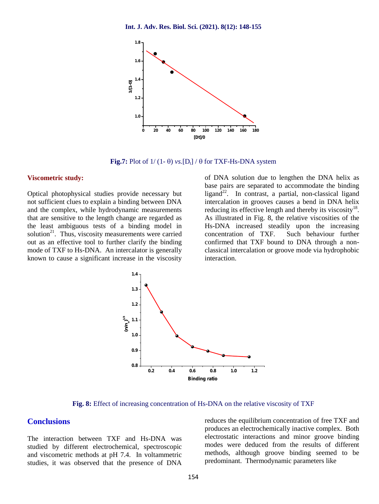

**Fig.7:** Plot of  $1/(1-\theta)$  *vs.* [D<sub>t</sub>] /  $\theta$  for TXF-Hs-DNA system

#### **Viscometric study:**

Optical photophysical studies provide necessary but not sufficient clues to explain a binding between DNA and the complex, while hydrodynamic measurements that are sensitive to the length change are regarded as the least ambiguous tests of a binding model in solution $2^1$ . Thus, viscosity measurements were carried concentration of TXF. out as an effective tool to further clarify the binding mode of TXF to Hs-DNA. An intercalator is generally known to cause a significant increase in the viscosity

of DNA solution due to lengthen the DNA helix as base pairs are separated to accommodate the binding ligand<sup>22</sup>. In contrast, a partial, non-classical ligand intercalation in grooves causes a bend in DNA helix reducing its effective length and thereby its viscosity<sup>18</sup>. As illustrated in Fig. 8, the relative viscosities of the Hs-DNA increased steadily upon the increasing Such behaviour further confirmed that TXF bound to DNA through a non classical intercalation or groove mode via hydrophobic interaction.



**Fig. 8:** Effect of increasing concentration of Hs-DNA on the relative viscosity of TXF

## **Conclusions**

The interaction between TXF and Hs-DNA was studied by different electrochemical, spectroscopic and viscometric methods at pH 7.4. In voltammetric studies, it was observed that the presence of DNA

reduces the equilibrium concentration of free TXF and produces an electrochemically inactive complex. Both electrostatic interactions and minor groove binding modes were deduced from the results of different methods, although groove binding seemed to be predominant. Thermodynamic parameters like